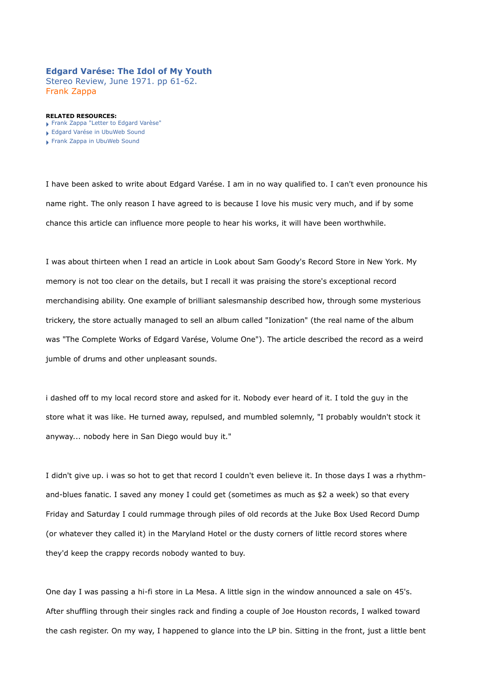### **Edgard Varése: The Idol of My Youth**

Stereo Review, June 1971. pp 61-62. Frank Zappa

#### **RELATED RESOURCES:**

- [Frank Zappa "Letter to Edgard Varèse"](http://www.ubu.com/papers/zappa_varese_letter.html)
- [Edgard Varése in UbuWeb Sound](http://ubu.com/sound/varese.html)
- [Frank Zappa in UbuWeb Sound](http://ubu.com/sound/zappa.html)

I have been asked to write about Edgard Varése. I am in no way qualified to. I can't even pronounce his name right. The only reason I have agreed to is because I love his music very much, and if by some chance this article can influence more people to hear his works, it will have been worthwhile.

I was about thirteen when I read an article in Look about Sam Goody's Record Store in New York. My memory is not too clear on the details, but I recall it was praising the store's exceptional record merchandising ability. One example of brilliant salesmanship described how, through some mysterious trickery, the store actually managed to sell an album called "Ionization" (the real name of the album was "The Complete Works of Edgard Varése, Volume One"). The article described the record as a weird jumble of drums and other unpleasant sounds.

i dashed off to my local record store and asked for it. Nobody ever heard of it. I told the guy in the store what it was like. He turned away, repulsed, and mumbled solemnly, "I probably wouldn't stock it anyway... nobody here in San Diego would buy it."

I didn't give up. i was so hot to get that record I couldn't even believe it. In those days I was a rhythmand-blues fanatic. I saved any money I could get (sometimes as much as \$2 a week) so that every Friday and Saturday I could rummage through piles of old records at the Juke Box Used Record Dump (or whatever they called it) in the Maryland Hotel or the dusty corners of little record stores where they'd keep the crappy records nobody wanted to buy.

One day I was passing a hi-fi store in La Mesa. A little sign in the window announced a sale on 45's. After shuffling through their singles rack and finding a couple of Joe Houston records, I walked toward the cash register. On my way, I happened to glance into the LP bin. Sitting in the front, just a little bent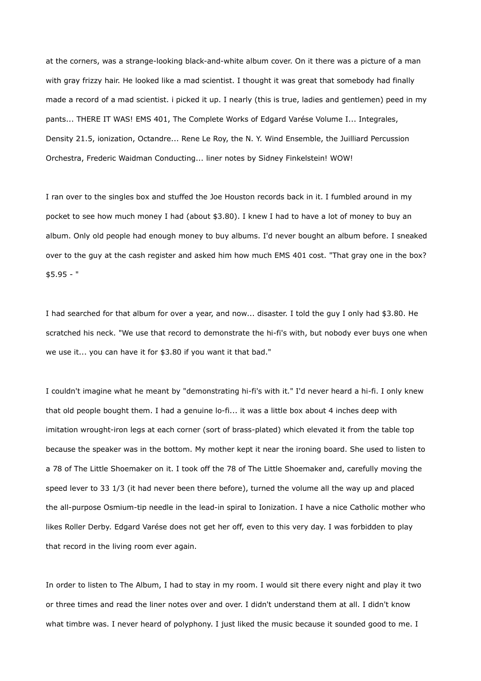at the corners, was a strange-looking black-and-white album cover. On it there was a picture of a man with gray frizzy hair. He looked like a mad scientist. I thought it was great that somebody had finally made a record of a mad scientist. i picked it up. I nearly (this is true, ladies and gentlemen) peed in my pants... THERE IT WAS! EMS 401, The Complete Works of Edgard Varése Volume I... Integrales, Density 21.5, ionization, Octandre... Rene Le Roy, the N. Y. Wind Ensemble, the Juilliard Percussion Orchestra, Frederic Waidman Conducting... liner notes by Sidney Finkelstein! WOW!

I ran over to the singles box and stuffed the Joe Houston records back in it. I fumbled around in my pocket to see how much money I had (about \$3.80). I knew I had to have a lot of money to buy an album. Only old people had enough money to buy albums. I'd never bought an album before. I sneaked over to the guy at the cash register and asked him how much EMS 401 cost. "That gray one in the box? \$5.95 - "

I had searched for that album for over a year, and now... disaster. I told the guy I only had \$3.80. He scratched his neck. "We use that record to demonstrate the hi-fi's with, but nobody ever buys one when we use it... you can have it for \$3.80 if you want it that bad."

I couldn't imagine what he meant by "demonstrating hi-fi's with it." I'd never heard a hi-fi. I only knew that old people bought them. I had a genuine lo-fi... it was a little box about 4 inches deep with imitation wrought-iron legs at each corner (sort of brass-plated) which elevated it from the table top because the speaker was in the bottom. My mother kept it near the ironing board. She used to listen to a 78 of The Little Shoemaker on it. I took off the 78 of The Little Shoemaker and, carefully moving the speed lever to 33 1/3 (it had never been there before), turned the volume all the way up and placed the all-purpose Osmium-tip needle in the lead-in spiral to Ionization. I have a nice Catholic mother who likes Roller Derby. Edgard Varése does not get her off, even to this very day. I was forbidden to play that record in the living room ever again.

In order to listen to The Album, I had to stay in my room. I would sit there every night and play it two or three times and read the liner notes over and over. I didn't understand them at all. I didn't know what timbre was. I never heard of polyphony. I just liked the music because it sounded good to me. I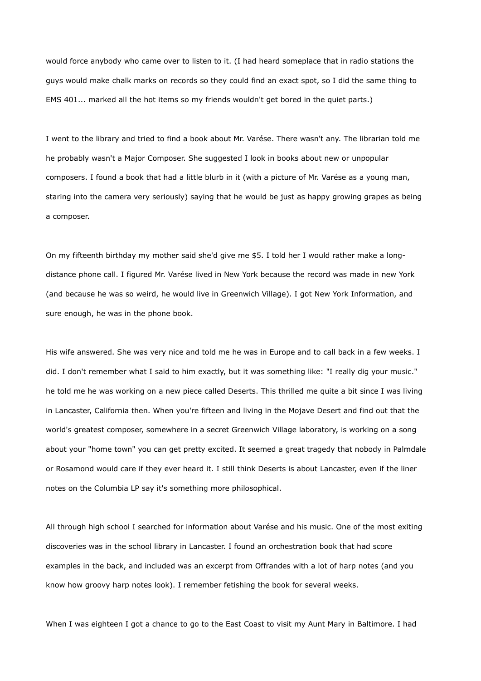would force anybody who came over to listen to it. (I had heard someplace that in radio stations the guys would make chalk marks on records so they could find an exact spot, so I did the same thing to EMS 401... marked all the hot items so my friends wouldn't get bored in the quiet parts.)

I went to the library and tried to find a book about Mr. Varése. There wasn't any. The librarian told me he probably wasn't a Major Composer. She suggested I look in books about new or unpopular composers. I found a book that had a little blurb in it (with a picture of Mr. Varése as a young man, staring into the camera very seriously) saying that he would be just as happy growing grapes as being a composer.

On my fifteenth birthday my mother said she'd give me \$5. I told her I would rather make a longdistance phone call. I figured Mr. Varése lived in New York because the record was made in new York (and because he was so weird, he would live in Greenwich Village). I got New York Information, and sure enough, he was in the phone book.

His wife answered. She was very nice and told me he was in Europe and to call back in a few weeks. I did. I don't remember what I said to him exactly, but it was something like: "I really dig your music." he told me he was working on a new piece called Deserts. This thrilled me quite a bit since I was living in Lancaster, California then. When you're fifteen and living in the Mojave Desert and find out that the world's greatest composer, somewhere in a secret Greenwich Village laboratory, is working on a song about your "home town" you can get pretty excited. It seemed a great tragedy that nobody in Palmdale or Rosamond would care if they ever heard it. I still think Deserts is about Lancaster, even if the liner notes on the Columbia LP say it's something more philosophical.

All through high school I searched for information about Varése and his music. One of the most exiting discoveries was in the school library in Lancaster. I found an orchestration book that had score examples in the back, and included was an excerpt from Offrandes with a lot of harp notes (and you know how groovy harp notes look). I remember fetishing the book for several weeks.

When I was eighteen I got a chance to go to the East Coast to visit my Aunt Mary in Baltimore. I had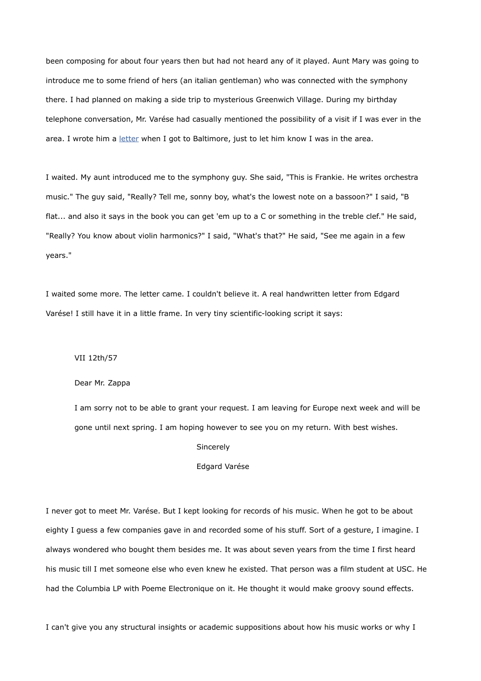been composing for about four years then but had not heard any of it played. Aunt Mary was going to introduce me to some friend of hers (an italian gentleman) who was connected with the symphony there. I had planned on making a side trip to mysterious Greenwich Village. During my birthday telephone conversation, Mr. Varése had casually mentioned the possibility of a visit if I was ever in the area. I wrote him a [letter](http://www.ubu.com/papers/zappa_varese_letter.html) when I got to Baltimore, just to let him know I was in the area.

I waited. My aunt introduced me to the symphony guy. She said, "This is Frankie. He writes orchestra music." The guy said, "Really? Tell me, sonny boy, what's the lowest note on a bassoon?" I said, "B flat... and also it says in the book you can get 'em up to a C or something in the treble clef." He said, "Really? You know about violin harmonics?" I said, "What's that?" He said, "See me again in a few years."

I waited some more. The letter came. I couldn't believe it. A real handwritten letter from Edgard Varése! I still have it in a little frame. In very tiny scientific-looking script it says:

# VII 12th/57

#### Dear Mr. Zappa

I am sorry not to be able to grant your request. I am leaving for Europe next week and will be gone until next spring. I am hoping however to see you on my return. With best wishes.

### Sincerely

## Edgard Varése

I never got to meet Mr. Varése. But I kept looking for records of his music. When he got to be about eighty I guess a few companies gave in and recorded some of his stuff. Sort of a gesture, I imagine. I always wondered who bought them besides me. It was about seven years from the time I first heard his music till I met someone else who even knew he existed. That person was a film student at USC. He had the Columbia LP with Poeme Electronique on it. He thought it would make groovy sound effects.

I can't give you any structural insights or academic suppositions about how his music works or why I